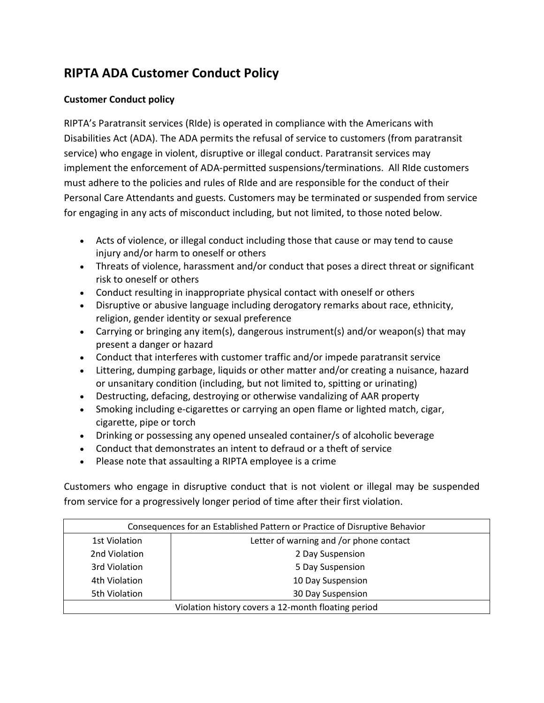## **RIPTA ADA Customer Conduct Policy**

## **Customer Conduct policy**

RIPTA's Paratransit services (RIde) is operated in compliance with the Americans with Disabilities Act (ADA). The ADA permits the refusal of service to customers (from paratransit service) who engage in violent, disruptive or illegal conduct. Paratransit services may implement the enforcement of ADA-permitted suspensions/terminations. All RIde customers must adhere to the policies and rules of RIde and are responsible for the conduct of their Personal Care Attendants and guests. Customers may be terminated or suspended from service for engaging in any acts of misconduct including, but not limited, to those noted below.

- Acts of violence, or illegal conduct including those that cause or may tend to cause injury and/or harm to oneself or others
- Threats of violence, harassment and/or conduct that poses a direct threat or significant risk to oneself or others
- Conduct resulting in inappropriate physical contact with oneself or others
- Disruptive or abusive language including derogatory remarks about race, ethnicity, religion, gender identity or sexual preference
- Carrying or bringing any item(s), dangerous instrument(s) and/or weapon(s) that may present a danger or hazard
- Conduct that interferes with customer traffic and/or impede paratransit service
- Littering, dumping garbage, liquids or other matter and/or creating a nuisance, hazard or unsanitary condition (including, but not limited to, spitting or urinating)
- Destructing, defacing, destroying or otherwise vandalizing of AAR property
- Smoking including e-cigarettes or carrying an open flame or lighted match, cigar, cigarette, pipe or torch
- Drinking or possessing any opened unsealed container/s of alcoholic beverage
- Conduct that demonstrates an intent to defraud or a theft of service
- Please note that assaulting a RIPTA employee is a crime

Customers who engage in disruptive conduct that is not violent or illegal may be suspended from service for a progressively longer period of time after their first violation.

| Consequences for an Established Pattern or Practice of Disruptive Behavior |                                         |
|----------------------------------------------------------------------------|-----------------------------------------|
| 1st Violation                                                              | Letter of warning and /or phone contact |
| 2nd Violation                                                              | 2 Day Suspension                        |
| 3rd Violation                                                              | 5 Day Suspension                        |
| 4th Violation                                                              | 10 Day Suspension                       |
| 5th Violation                                                              | 30 Day Suspension                       |
| Violation history covers a 12-month floating period                        |                                         |